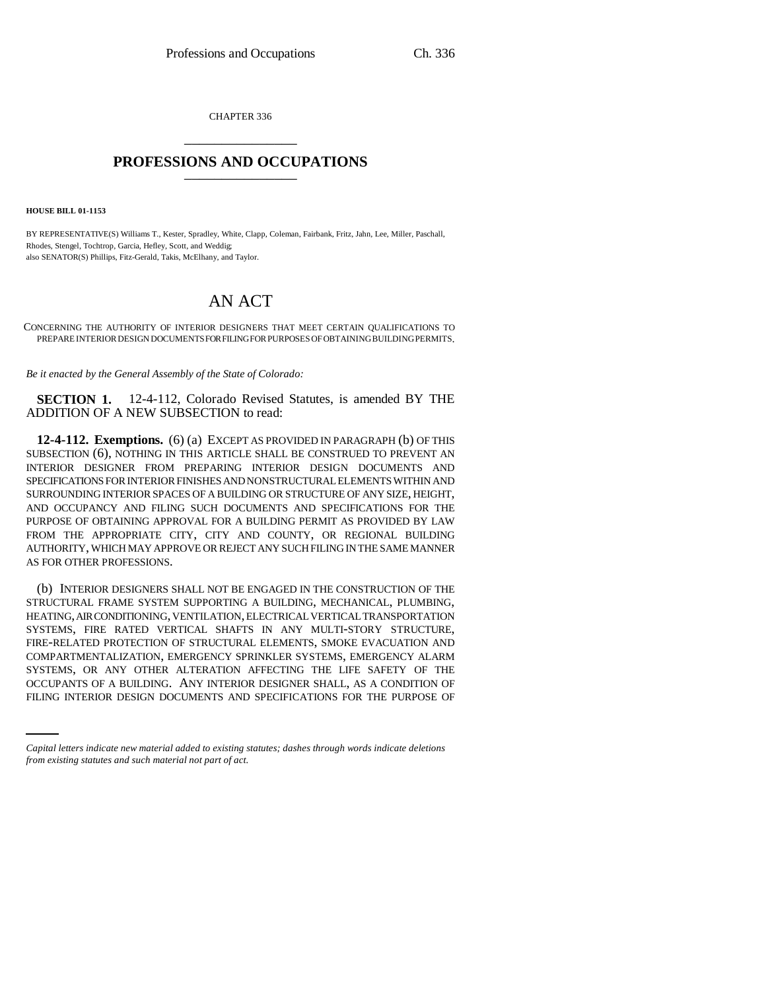CHAPTER 336 \_\_\_\_\_\_\_\_\_\_\_\_\_\_\_

## **PROFESSIONS AND OCCUPATIONS** \_\_\_\_\_\_\_\_\_\_\_\_\_\_\_

**HOUSE BILL 01-1153**

BY REPRESENTATIVE(S) Williams T., Kester, Spradley, White, Clapp, Coleman, Fairbank, Fritz, Jahn, Lee, Miller, Paschall, Rhodes, Stengel, Tochtrop, Garcia, Hefley, Scott, and Weddig; also SENATOR(S) Phillips, Fitz-Gerald, Takis, McElhany, and Taylor.

## AN ACT

CONCERNING THE AUTHORITY OF INTERIOR DESIGNERS THAT MEET CERTAIN QUALIFICATIONS TO PREPARE INTERIOR DESIGN DOCUMENTS FOR FILING FOR PURPOSES OF OBTAINING BUILDING PERMITS.

*Be it enacted by the General Assembly of the State of Colorado:*

**SECTION 1.** 12-4-112, Colorado Revised Statutes, is amended BY THE ADDITION OF A NEW SUBSECTION to read:

**12-4-112. Exemptions.** (6) (a) EXCEPT AS PROVIDED IN PARAGRAPH (b) OF THIS SUBSECTION (6), NOTHING IN THIS ARTICLE SHALL BE CONSTRUED TO PREVENT AN INTERIOR DESIGNER FROM PREPARING INTERIOR DESIGN DOCUMENTS AND SPECIFICATIONS FOR INTERIOR FINISHES AND NONSTRUCTURAL ELEMENTS WITHIN AND SURROUNDING INTERIOR SPACES OF A BUILDING OR STRUCTURE OF ANY SIZE, HEIGHT, AND OCCUPANCY AND FILING SUCH DOCUMENTS AND SPECIFICATIONS FOR THE PURPOSE OF OBTAINING APPROVAL FOR A BUILDING PERMIT AS PROVIDED BY LAW FROM THE APPROPRIATE CITY, CITY AND COUNTY, OR REGIONAL BUILDING AUTHORITY, WHICH MAY APPROVE OR REJECT ANY SUCH FILING IN THE SAME MANNER AS FOR OTHER PROFESSIONS.

SYSTEMS, OR ANY OTHER ALTERATION AFFECTING THE LIFE SAFETY OF THE (b) INTERIOR DESIGNERS SHALL NOT BE ENGAGED IN THE CONSTRUCTION OF THE STRUCTURAL FRAME SYSTEM SUPPORTING A BUILDING, MECHANICAL, PLUMBING, HEATING, AIR CONDITIONING, VENTILATION, ELECTRICAL VERTICAL TRANSPORTATION SYSTEMS, FIRE RATED VERTICAL SHAFTS IN ANY MULTI-STORY STRUCTURE, FIRE-RELATED PROTECTION OF STRUCTURAL ELEMENTS, SMOKE EVACUATION AND COMPARTMENTALIZATION, EMERGENCY SPRINKLER SYSTEMS, EMERGENCY ALARM OCCUPANTS OF A BUILDING. ANY INTERIOR DESIGNER SHALL, AS A CONDITION OF FILING INTERIOR DESIGN DOCUMENTS AND SPECIFICATIONS FOR THE PURPOSE OF

*Capital letters indicate new material added to existing statutes; dashes through words indicate deletions from existing statutes and such material not part of act.*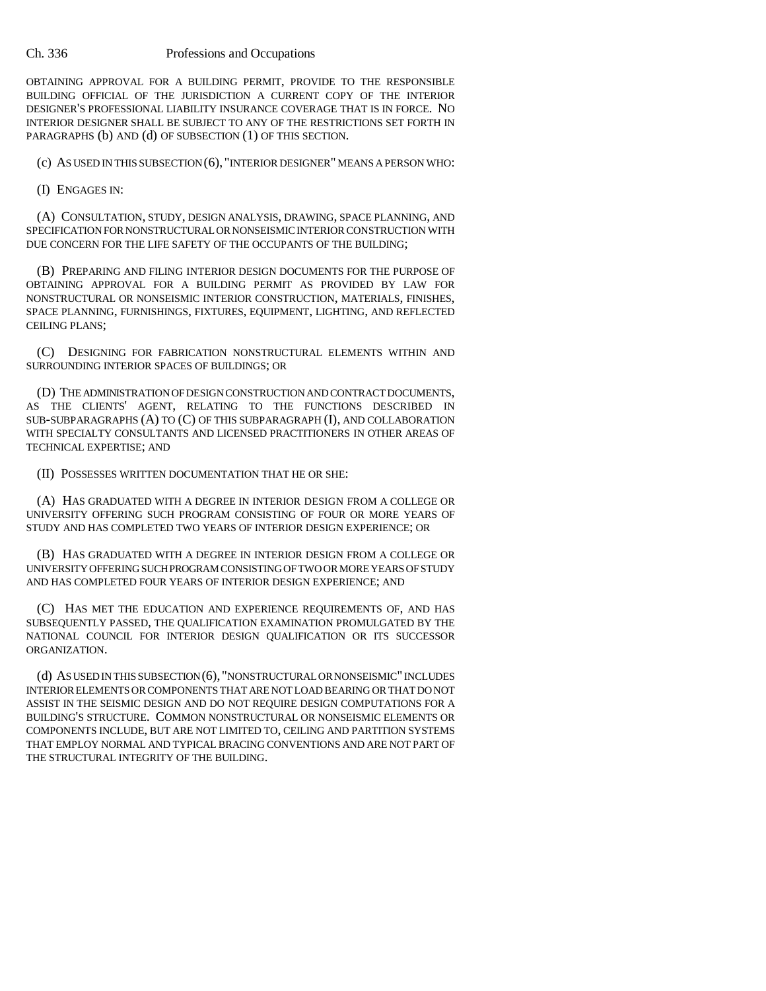## Ch. 336 Professions and Occupations

OBTAINING APPROVAL FOR A BUILDING PERMIT, PROVIDE TO THE RESPONSIBLE BUILDING OFFICIAL OF THE JURISDICTION A CURRENT COPY OF THE INTERIOR DESIGNER'S PROFESSIONAL LIABILITY INSURANCE COVERAGE THAT IS IN FORCE. NO INTERIOR DESIGNER SHALL BE SUBJECT TO ANY OF THE RESTRICTIONS SET FORTH IN PARAGRAPHS (b) AND (d) OF SUBSECTION (1) OF THIS SECTION.

(c) AS USED IN THIS SUBSECTION (6), "INTERIOR DESIGNER" MEANS A PERSON WHO:

(I) ENGAGES IN:

(A) CONSULTATION, STUDY, DESIGN ANALYSIS, DRAWING, SPACE PLANNING, AND SPECIFICATION FOR NONSTRUCTURAL OR NONSEISMIC INTERIOR CONSTRUCTION WITH DUE CONCERN FOR THE LIFE SAFETY OF THE OCCUPANTS OF THE BUILDING;

(B) PREPARING AND FILING INTERIOR DESIGN DOCUMENTS FOR THE PURPOSE OF OBTAINING APPROVAL FOR A BUILDING PERMIT AS PROVIDED BY LAW FOR NONSTRUCTURAL OR NONSEISMIC INTERIOR CONSTRUCTION, MATERIALS, FINISHES, SPACE PLANNING, FURNISHINGS, FIXTURES, EQUIPMENT, LIGHTING, AND REFLECTED CEILING PLANS;

(C) DESIGNING FOR FABRICATION NONSTRUCTURAL ELEMENTS WITHIN AND SURROUNDING INTERIOR SPACES OF BUILDINGS; OR

(D) THE ADMINISTRATION OF DESIGN CONSTRUCTION AND CONTRACT DOCUMENTS, AS THE CLIENTS' AGENT, RELATING TO THE FUNCTIONS DESCRIBED IN SUB-SUBPARAGRAPHS (A) TO (C) OF THIS SUBPARAGRAPH (I), AND COLLABORATION WITH SPECIALTY CONSULTANTS AND LICENSED PRACTITIONERS IN OTHER AREAS OF TECHNICAL EXPERTISE; AND

(II) POSSESSES WRITTEN DOCUMENTATION THAT HE OR SHE:

(A) HAS GRADUATED WITH A DEGREE IN INTERIOR DESIGN FROM A COLLEGE OR UNIVERSITY OFFERING SUCH PROGRAM CONSISTING OF FOUR OR MORE YEARS OF STUDY AND HAS COMPLETED TWO YEARS OF INTERIOR DESIGN EXPERIENCE; OR

(B) HAS GRADUATED WITH A DEGREE IN INTERIOR DESIGN FROM A COLLEGE OR UNIVERSITY OFFERING SUCH PROGRAM CONSISTING OF TWO OR MORE YEARS OF STUDY AND HAS COMPLETED FOUR YEARS OF INTERIOR DESIGN EXPERIENCE; AND

(C) HAS MET THE EDUCATION AND EXPERIENCE REQUIREMENTS OF, AND HAS SUBSEQUENTLY PASSED, THE QUALIFICATION EXAMINATION PROMULGATED BY THE NATIONAL COUNCIL FOR INTERIOR DESIGN QUALIFICATION OR ITS SUCCESSOR ORGANIZATION.

(d) AS USED IN THIS SUBSECTION (6), "NONSTRUCTURAL OR NONSEISMIC" INCLUDES INTERIOR ELEMENTS OR COMPONENTS THAT ARE NOT LOAD BEARING OR THAT DO NOT ASSIST IN THE SEISMIC DESIGN AND DO NOT REQUIRE DESIGN COMPUTATIONS FOR A BUILDING'S STRUCTURE. COMMON NONSTRUCTURAL OR NONSEISMIC ELEMENTS OR COMPONENTS INCLUDE, BUT ARE NOT LIMITED TO, CEILING AND PARTITION SYSTEMS THAT EMPLOY NORMAL AND TYPICAL BRACING CONVENTIONS AND ARE NOT PART OF THE STRUCTURAL INTEGRITY OF THE BUILDING.